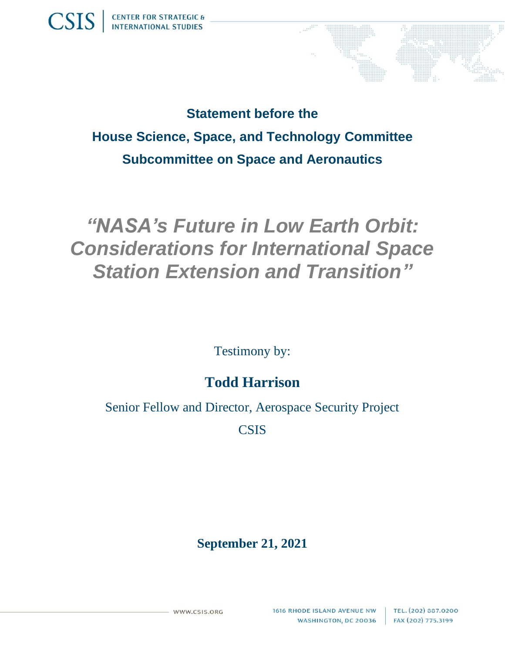**Statement before the House Science, Space, and Technology Committee Subcommittee on Space and Aeronautics**

## *"NASA's Future in Low Earth Orbit: Considerations for International Space Station Extension and Transition"*

Testimony by:

## **Todd Harrison**

Senior Fellow and Director, Aerospace Security Project

**CSIS** 

## **September 21, 2021**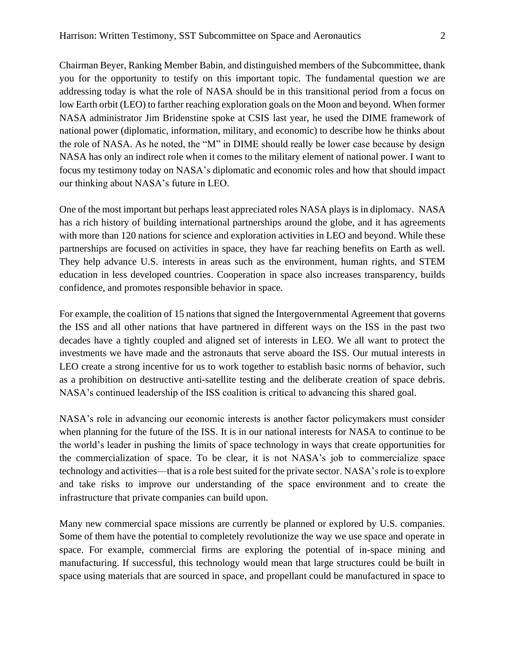Chairman Beyer, Ranking Member Babin, and distinguished members of the Subcommittee, thank you for the opportunity to testify on this important topic. The fundamental question we are addressing today is what the role of NASA should be in this transitional period from a focus on low Earth orbit (LEO) to farther reaching exploration goals on the Moon and beyond. When former NASA administrator Jim Bridenstine spoke at CSIS last year, he used the DIME framework of national power (diplomatic, information, military, and economic) to describe how he thinks about the role of NASA. As he noted, the "M" in DIME should really be lower case because by design NASA has only an indirect role when it comes to the military element of national power. I want to focus my testimony today on NASA's diplomatic and economic roles and how that should impact our thinking about NASA's future in LEO.

One of the most important but perhaps least appreciated roles NASA plays is in diplomacy. NASA has a rich history of building international partnerships around the globe, and it has agreements with more than 120 nations for science and exploration activities in LEO and beyond. While these partnerships are focused on activities in space, they have far reaching benefits on Earth as well. They help advance U.S. interests in areas such as the environment, human rights, and STEM education in less developed countries. Cooperation in space also increases transparency, builds confidence, and promotes responsible behavior in space.

For example, the coalition of 15 nations that signed the Intergovernmental Agreement that governs the ISS and all other nations that have partnered in different ways on the ISS in the past two decades have a tightly coupled and aligned set of interests in LEO. We all want to protect the investments we have made and the astronauts that serve aboard the ISS. Our mutual interests in LEO create a strong incentive for us to work together to establish basic norms of behavior, such as a prohibition on destructive anti-satellite testing and the deliberate creation of space debris. NASA's continued leadership of the ISS coalition is critical to advancing this shared goal.

NASA's role in advancing our economic interests is another factor policymakers must consider when planning for the future of the ISS. It is in our national interests for NASA to continue to be the world's leader in pushing the limits of space technology in ways that create opportunities for the commercialization of space. To be clear, it is not NASA's job to commercialize space technology and activities—that is a role best suited for the private sector. NASA's role is to explore and take risks to improve our understanding of the space environment and to create the infrastructure that private companies can build upon.

Many new commercial space missions are currently be planned or explored by U.S. companies. Some of them have the potential to completely revolutionize the way we use space and operate in space. For example, commercial firms are exploring the potential of in-space mining and manufacturing. If successful, this technology would mean that large structures could be built in space using materials that are sourced in space, and propellant could be manufactured in space to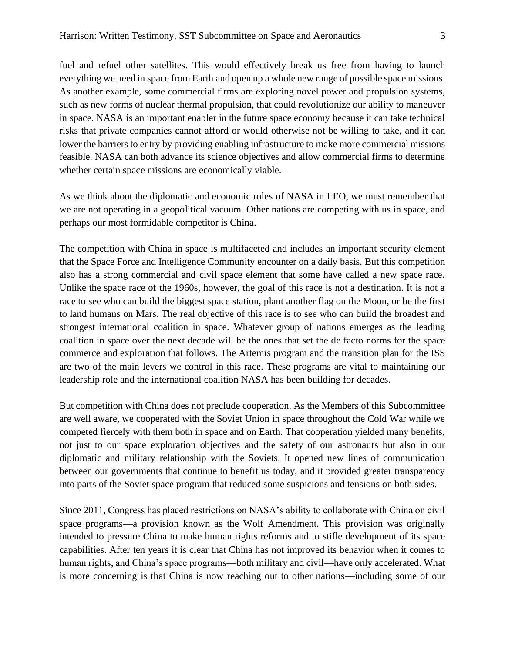fuel and refuel other satellites. This would effectively break us free from having to launch everything we need in space from Earth and open up a whole new range of possible space missions. As another example, some commercial firms are exploring novel power and propulsion systems, such as new forms of nuclear thermal propulsion, that could revolutionize our ability to maneuver in space. NASA is an important enabler in the future space economy because it can take technical risks that private companies cannot afford or would otherwise not be willing to take, and it can lower the barriers to entry by providing enabling infrastructure to make more commercial missions feasible. NASA can both advance its science objectives and allow commercial firms to determine whether certain space missions are economically viable.

As we think about the diplomatic and economic roles of NASA in LEO, we must remember that we are not operating in a geopolitical vacuum. Other nations are competing with us in space, and perhaps our most formidable competitor is China.

The competition with China in space is multifaceted and includes an important security element that the Space Force and Intelligence Community encounter on a daily basis. But this competition also has a strong commercial and civil space element that some have called a new space race. Unlike the space race of the 1960s, however, the goal of this race is not a destination. It is not a race to see who can build the biggest space station, plant another flag on the Moon, or be the first to land humans on Mars. The real objective of this race is to see who can build the broadest and strongest international coalition in space. Whatever group of nations emerges as the leading coalition in space over the next decade will be the ones that set the de facto norms for the space commerce and exploration that follows. The Artemis program and the transition plan for the ISS are two of the main levers we control in this race. These programs are vital to maintaining our leadership role and the international coalition NASA has been building for decades.

But competition with China does not preclude cooperation. As the Members of this Subcommittee are well aware, we cooperated with the Soviet Union in space throughout the Cold War while we competed fiercely with them both in space and on Earth. That cooperation yielded many benefits, not just to our space exploration objectives and the safety of our astronauts but also in our diplomatic and military relationship with the Soviets. It opened new lines of communication between our governments that continue to benefit us today, and it provided greater transparency into parts of the Soviet space program that reduced some suspicions and tensions on both sides.

Since 2011, Congress has placed restrictions on NASA's ability to collaborate with China on civil space programs—a provision known as the Wolf Amendment. This provision was originally intended to pressure China to make human rights reforms and to stifle development of its space capabilities. After ten years it is clear that China has not improved its behavior when it comes to human rights, and China's space programs—both military and civil—have only accelerated. What is more concerning is that China is now reaching out to other nations—including some of our